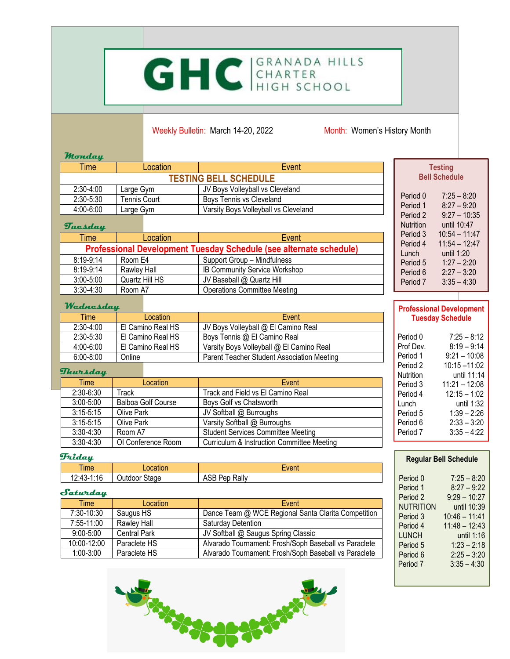# GHC GRANADA HILLS

Weekly Bulletin: March 14-20, 2022 Month: Women's History Month

Nutrition until 10:47

Period 4 11:54 – 12:47 Lunch until 1:20 Period 5 1:27 – 2:20 Period 6 2:27 – 3:20 Period 7 3:35 – 4:30

 $10:54 - 11:47$ 

#### **Monday**

| Time                         | Location     | Event                                |          | <b>Testing</b>       |
|------------------------------|--------------|--------------------------------------|----------|----------------------|
| <b>TESTING BELL SCHEDULE</b> |              |                                      |          | <b>Bell Schedule</b> |
| $2:30-4:00$                  | Large Gym    | JV Boys Volleyball vs Cleveland      |          |                      |
| $2:30 - 5:30$                | Tennis Court | Boys Tennis vs Cleveland             | Period 0 | $7:25 - 8:20$        |
| $4:00 - 6:00$                | Large Gym    | Varsity Boys Volleyball vs Cleveland | Period 1 | $8:27 - 9:20$        |
|                              |              |                                      | Period 2 | $9:27 - 10:35$       |

#### **Tuesday**

| Time                                                                      | Location       | Event                                |
|---------------------------------------------------------------------------|----------------|--------------------------------------|
| <b>Professional Development Tuesday Schedule (see alternate schedule)</b> |                |                                      |
| 8:19-9:14                                                                 | Room E4        | Support Group - Mindfulness          |
| 8:19-9:14                                                                 | Rawley Hall    | <b>IB Community Service Workshop</b> |
| $3:00 - 5:00$                                                             | Quartz Hill HS | JV Baseball @ Quartz Hill            |
| $3:30-4:30$                                                               | Room A7        | <b>Operations Committee Meeting</b>  |

### **Wednesday**

| Wednesday     |                   |                                            | <b>Professional Development</b> |
|---------------|-------------------|--------------------------------------------|---------------------------------|
| <b>Time</b>   | Location          | Event                                      | <b>Tuesday Schedule</b>         |
| $2:30-4:00$   | El Camino Real HS | JV Boys Volleyball @ El Camino Real        |                                 |
| $2:30-5:30$   | El Camino Real HS | Boys Tennis @ El Camino Real               | $7:25 - 8:12$<br>Period 0       |
| $4:00 - 6:00$ | El Camino Real HS | Varsity Boys Volleyball @ El Camino Real   | $8:19 - 9:14$<br>Prof Dev.      |
| $6:00 - 8:00$ | Online            | Parent Teacher Student Association Meeting | $9:21 - 10:08$<br>Period 1      |
|               |                   |                                            | $10:15 - 11:02$<br>Period 2     |

#### **Thursday**

| Thursday      |                           |                                            | Period 2<br>Nutrition | $10:15 - 11:02$<br>until 11:14 |
|---------------|---------------------------|--------------------------------------------|-----------------------|--------------------------------|
| <b>Time</b>   | Location                  | Event                                      | Period 3              | $11:21 - 12:08$                |
| $2:30-6:30$   | Track                     | Track and Field vs El Camino Real          | Period 4              | $12:15 - 1:02$                 |
| $3:00 - 5:00$ | <b>Balboa Golf Course</b> | Boys Golf vs Chatsworth                    | Lunch                 | until 1:32                     |
| $3:15 - 5:15$ | Olive Park                | JV Softball @ Burroughs                    | Period 5              | $1:39 - 2:26$                  |
| $3:15 - 5:15$ | Olive Park                | Varsity Softball @ Burroughs               | Period 6              | $2:33 - 3:20$                  |
| $3:30 - 4:30$ | Room A7                   | <b>Student Services Committee Meeting</b>  | Period 7              | $3:35 - 4:22$                  |
| $3:30-4:30$   | OI Conference Room        | Curriculum & Instruction Committee Meeting |                       |                                |

#### **Friday**

| $-1$<br><b>Ime</b>     | $n^{\alpha}$<br>HUON. | Event               |
|------------------------|-----------------------|---------------------|
| ⊡16<br>0.12<br>`-<br>∸ | Stage<br>Jutdoor      | Rally<br>Per<br>ASD |

| Saturday |               |              |                                                       |  |
|----------|---------------|--------------|-------------------------------------------------------|--|
|          | Time          | Location     | Event                                                 |  |
|          | 7:30-10:30    | Saugus HS    | Dance Team @ WCE Regional Santa Clarita Competition   |  |
|          | 7:55-11:00    | Rawley Hall  | Saturday Detention                                    |  |
|          | $9:00 - 5:00$ | Central Park | JV Softball @ Saugus Spring Classic                   |  |
|          | 10:00-12:00   | Paraclete HS | Alvarado Tournament: Frosh/Soph Baseball vs Paraclete |  |
|          | $1:00-3:00$   | Paraclete HS | Alvarado Tournament: Frosh/Soph Baseball vs Paraclete |  |



| <b>Regular Bell Schedule</b> |                 |  |  |  |
|------------------------------|-----------------|--|--|--|
| Period 0                     | $7:25 - 8:20$   |  |  |  |
| Period 1                     | $8:27 - 9:22$   |  |  |  |
| Period 2                     | $9:29 - 10:27$  |  |  |  |
| NUTRITION                    | until 10:39     |  |  |  |
| Period 3                     | $10:46 - 11:41$ |  |  |  |
| Period 4                     | $11:48 - 12:43$ |  |  |  |
| <b>LUNCH</b>                 | until 1:16      |  |  |  |
| Period 5                     | $1:23 - 2:18$   |  |  |  |
| Period 6                     | $2:25 - 3:20$   |  |  |  |
| Period 7                     | $3:35 - 4:30$   |  |  |  |